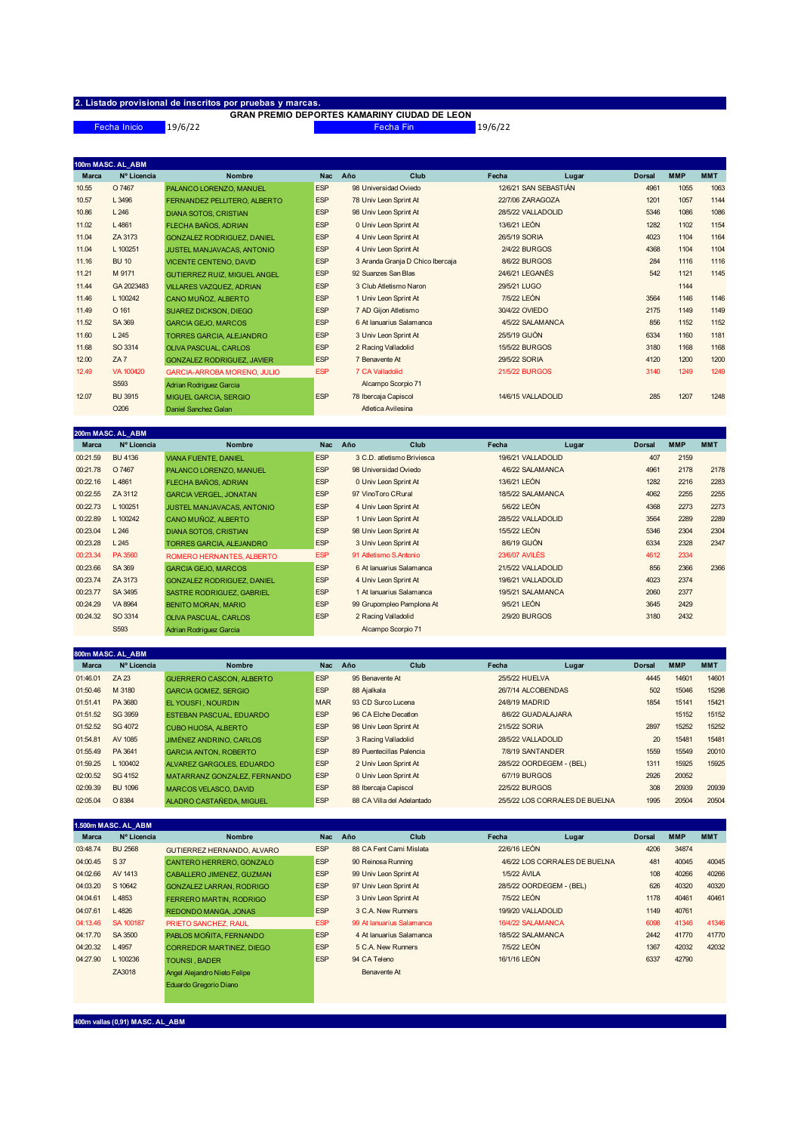## **2. Listado provisional de inscritos por pruebas y marcas. GRAN PREMIO DEPORTES KAMARINY CIUDAD DE LEON**

19/6/22 Fecha Inicio Fecha Fin 19/6/22

|              | 100m MASC. AL_ABM |                                     |            |     |                                  |                       |       |               |            |            |
|--------------|-------------------|-------------------------------------|------------|-----|----------------------------------|-----------------------|-------|---------------|------------|------------|
| <b>Marca</b> | Nº Licencia       | <b>Nombre</b>                       | <b>Nac</b> | Año | Club                             | Fecha                 | Lugar | <b>Dorsal</b> | <b>MMP</b> | <b>MMT</b> |
| 10.55        | O 7467            | PALANCO LORENZO, MANUEL             | <b>ESP</b> |     | 98 Universidad Oviedo            | 12/6/21 SAN SEBASTIÁN |       | 4961          | 1055       | 1063       |
| 10.57        | L 3496            | FERNANDEZ PELLITERO, ALBERTO        | <b>ESP</b> |     | 78 Univ Leon Sprint At           | 22/7/06 ZARAGOZA      |       | 1201          | 1057       | 1144       |
| 10.86        | L246              | <b>DIANA SOTOS, CRISTIAN</b>        | <b>ESP</b> |     | 98 Univ Leon Sprint At           | 28/5/22 VALLADOLID    |       | 5346          | 1086       | 1086       |
| 11.02        | L4861             | FLECHA BAÑOS, ADRIAN                | <b>ESP</b> |     | 0 Univ Leon Sprint At            | 13/6/21 LEÓN          |       | 1282          | 1102       | 1154       |
| 11.04        | ZA 3173           | <b>GONZALEZ RODRIGUEZ, DANIEL</b>   | <b>ESP</b> |     | 4 Univ Leon Sprint At            | 26/5/19 SORIA         |       | 4023          | 1104       | 1164       |
| 11.04        | L 100251          | JUSTEL MANJAVACAS, ANTONIO          | <b>ESP</b> |     | 4 Univ Leon Sprint At            | <b>2/4/22 BURGOS</b>  |       | 4368          | 1104       | 1104       |
| 11.16        | <b>BU 10</b>      | <b>VICENTE CENTENO, DAVID</b>       | <b>ESP</b> |     | 3 Aranda Granja D Chico Ibercaja | <b>8/6/22 BURGOS</b>  |       | 284           | 1116       | 1116       |
| 11.21        | M 9171            | <b>GUTIERREZ RUIZ, MIGUEL ANGEL</b> | <b>ESP</b> |     | 92 Suanzes San Blas              | 24/6/21 LEGANÉS       |       | 542           | 1121       | 1145       |
| 11.44        | GA 2023483        | VILLARES VAZQUEZ, ADRIAN            | <b>ESP</b> |     | 3 Club Atletismo Naron           | 29/5/21 LUGO          |       |               | 1144       |            |
| 11.46        | L 100242          | CANO MUÑOZ, ALBERTO                 | <b>ESP</b> |     | 1 Univ Leon Sprint At            | 7/5/22 LEÓN           |       | 3564          | 1146       | 1146       |
| 11.49        | O 161             | <b>SUAREZ DICKSON, DIEGO</b>        | <b>ESP</b> |     | 7 AD Gijon Atletismo             | 30/4/22 OVIEDO        |       | 2175          | 1149       | 1149       |
| 11.52        | SA 369            | <b>GARCIA GEJO, MARCOS</b>          | <b>ESP</b> |     | 6 At lanuarius Salamanca         | 4/5/22 SALAMANCA      |       | 856           | 1152       | 1152       |
| 11.60        | L245              | TORRES GARCIA, ALEJANDRO            | <b>ESP</b> |     | 3 Univ Leon Sprint At            | 25/5/19 GIJÓN         |       | 6334          | 1160       | 1181       |
| 11.68        | SO 3314           | <b>OLIVA PASCUAL, CARLOS</b>        | <b>ESP</b> |     | 2 Racing Valladolid              | 15/5/22 BURGOS        |       | 3180          | 1168       | 1168       |
| 12.00        | ZA7               | <b>GONZALEZ RODRIGUEZ, JAVIER</b>   | <b>ESP</b> |     | 7 Benavente At                   | 29/5/22 SORIA         |       | 4120          | 1200       | 1200       |
| 12.49        | VA 100420         | <b>GARCIA-ARROBA MORENO, JULIO</b>  | <b>ESP</b> |     | 7 CA Valladolid                  | 21/5/22 BURGOS        |       | 3140          | 1249       | 1249       |
|              | S <sub>593</sub>  | Adrian Rodriguez Garcia             |            |     | Alcampo Scorpio 71               |                       |       |               |            |            |
| 12.07        | <b>BU 3915</b>    | <b>MIGUEL GARCIA, SERGIO</b>        | <b>ESP</b> |     | 78 Ibercaja Capiscol             | 14/6/15 VALLADOLID    |       | 285           | 1207       | 1248       |
|              | O <sub>206</sub>  | Daniel Sanchez Galan                |            |     | Atletica Avilesina               |                       |       |               |            |            |

|              | 200m MASC. AL ABM |                                   |            |                            |                       |       |               |            |            |
|--------------|-------------------|-----------------------------------|------------|----------------------------|-----------------------|-------|---------------|------------|------------|
| <b>Marca</b> | Nº Licencia       | <b>Nombre</b>                     | <b>Nac</b> | Año<br>Club                | Fecha                 | Lugar | <b>Dorsal</b> | <b>MMP</b> | <b>MMT</b> |
| 00:21.59     | <b>BU 4136</b>    | <b>VIANA FUENTE, DANIEL</b>       | <b>ESP</b> | 3 C.D. atletismo Briviesca | 19/6/21 VALLADOLID    |       | 407           | 2159       |            |
| 00:21.78     | O 7467            | PALANCO LORENZO, MANUEL           | <b>ESP</b> | 98 Universidad Oviedo      | 4/6/22 SALAMANCA      |       | 4961          | 2178       | 2178       |
| 00:22.16     | L4861             | FLECHA BAÑOS, ADRIAN              | <b>ESP</b> | 0 Univ Leon Sprint At      | 13/6/21 LEÓN          |       | 1282          | 2216       | 2283       |
| 00:22.55     | ZA 3112           | <b>GARCIA VERGEL, JONATAN</b>     | <b>ESP</b> | 97 VinoToro CRural         | 18/5/22 SALAMANCA     |       | 4062          | 2255       | 2255       |
| 00:22.73     | L 100251          | JUSTEL MANJAVACAS, ANTONIO        | <b>ESP</b> | 4 Univ Leon Sprint At      | 5/6/22 LEÓN           |       | 4368          | 2273       | 2273       |
| 00:22.89     | L 100242          | CANO MUÑOZ, ALBERTO               | <b>ESP</b> | 1 Univ Leon Sprint At      | 28/5/22 VALLADOLID    |       | 3564          | 2289       | 2289       |
| 00:23.04     | L246              | <b>DIANA SOTOS, CRISTIAN</b>      | <b>ESP</b> | 98 Univ Leon Sprint At     | 15/5/22 LEÓN          |       | 5346          | 2304       | 2304       |
| 00:23.28     | L245              | <b>TORRES GARCIA, ALEJANDRO</b>   | <b>ESP</b> | 3 Univ Leon Sprint At      | 8/6/19 GIJÓN          |       | 6334          | 2328       | 2347       |
| 00:23.34     | PA 3560           | ROMERO HERNANTES, ALBERTO         | <b>ESP</b> | 91 Atletismo S.Antonio     | <b>23/6/07 AVILÉS</b> |       | 4612          | 2334       |            |
| 00:23.66     | SA 369            | <b>GARCIA GEJO, MARCOS</b>        | <b>ESP</b> | 6 At lanuarius Salamanca   | 21/5/22 VALLADOLID    |       | 856           | 2366       | 2366       |
| 00:23.74     | ZA 3173           | <b>GONZALEZ RODRIGUEZ, DANIEL</b> | <b>ESP</b> | 4 Univ Leon Sprint At      | 19/6/21 VALLADOLID    |       | 4023          | 2374       |            |
| 00:23.77     | SA 3495           | <b>SASTRE RODRIGUEZ, GABRIEL</b>  | <b>ESP</b> | 1 At lanuarius Salamanca   | 19/5/21 SALAMANCA     |       | 2060          | 2377       |            |
| 00:24.29     | VA 8964           | <b>BENITO MORAN, MARIO</b>        | <b>ESP</b> | 99 Grupompleo Pamplona At  | 9/5/21 LEÓN           |       | 3645          | 2429       |            |
| 00:24.32     | SO 3314           | <b>OLIVA PASCUAL, CARLOS</b>      | <b>ESP</b> | 2 Racing Valladolid        | <b>2/9/20 BURGOS</b>  |       | 3180          | 2432       |            |
|              | S <sub>593</sub>  | Adrian Rodriguez Garcia           |            | Alcampo Scorpio 71         |                       |       |               |            |            |

|              | 800m MASC. AL ABM |                                 |            |                 |                            |                    |                                |               |            |            |
|--------------|-------------------|---------------------------------|------------|-----------------|----------------------------|--------------------|--------------------------------|---------------|------------|------------|
| <b>Marca</b> | Nº Licencia       | <b>Nombre</b>                   | <b>Nac</b> | Año             | Club                       | Fecha              | Lugar                          | <b>Dorsal</b> | <b>MMP</b> | <b>MMT</b> |
| 01:46.01     | ZA 23             | <b>GUERRERO CASCON, ALBERTO</b> | <b>ESP</b> | 95 Benavente At |                            | 25/5/22 HUELVA     |                                | 4445          | 14601      | 14601      |
| 01:50.46     | M 3180            | <b>GARCIA GOMEZ, SERGIO</b>     | <b>ESP</b> | 88 Ajalkala     |                            |                    | 26/7/14 ALCOBENDAS             | 502           | 15046      | 15298      |
| 01:51.41     | PA 3680           | <b>EL YOUSFI, NOURDIN</b>       | <b>MAR</b> |                 | 93 CD Surco Lucena         | 24/8/19 MADRID     |                                | 1854          | 15141      | 15421      |
| 01:51.52     | SG 3959           | <b>ESTEBAN PASCUAL, EDUARDO</b> | <b>ESP</b> |                 | 96 CA Elche Decation       |                    | 8/6/22 GUADALAJARA             |               | 15152      | 15152      |
| 01:52.52     | SG 4072           | <b>CUBO HIJOSA, ALBERTO</b>     | <b>ESP</b> |                 | 98 Univ Leon Sprint At     | 21/5/22 SORIA      |                                | 2897          | 15252      | 15252      |
| 01:54.81     | AV 1085           | <b>JIMÉNEZ ANDRINO, CARLOS</b>  | <b>ESP</b> |                 | 3 Racing Valladolid        | 28/5/22 VALLADOLID |                                | 20            | 15481      | 15481      |
| 01:55.49     | PA 3641           | <b>GARCIA ANTON, ROBERTO</b>    | <b>ESP</b> |                 | 89 Puentecillas Palencia   | 7/8/19 SANTANDER   |                                | 1559          | 15549      | 20010      |
| 01:59.25     | L 100402          | ALVAREZ GARGOLES, EDUARDO       | <b>ESP</b> |                 | 2 Univ Leon Sprint At      |                    | 28/5/22 OORDEGEM - (BEL)       | 1311          | 15925      | 15925      |
| 02:00.52     | SG 4152           | MATARRANZ GONZALEZ, FERNANDO    | <b>ESP</b> |                 | 0 Univ Leon Sprint At      | 6/7/19 BURGOS      |                                | 2926          | 20052      |            |
| 02:09.39     | <b>BU 1096</b>    | <b>MARCOS VELASCO, DAVID</b>    | <b>ESP</b> |                 | 88 Ibercaja Capiscol       | 22/5/22 BURGOS     |                                | 308           | 20939      | 20939      |
| 02:05.04     | O 8384            | ALADRO CASTAÑEDA, MIGUEL        | <b>ESP</b> |                 | 88 CA Villa del Adelantado |                    | 25/5/22 LOS CORRALES DE BUELNA | 1995          | 20504      | 20504      |

|              | 1.500m MASC. AL ABM |                                 |            |              |                           |       |                               |               |            |            |
|--------------|---------------------|---------------------------------|------------|--------------|---------------------------|-------|-------------------------------|---------------|------------|------------|
| <b>Marca</b> | Nº Licencia         | <b>Nombre</b>                   | <b>Nac</b> | Año          | Club                      | Fecha | Lugar                         | <b>Dorsal</b> | <b>MMP</b> | <b>MMT</b> |
| 03:48.74     | <b>BU 2568</b>      | GUTIERREZ HERNANDO, ALVARO      | <b>ESP</b> |              | 88 CA Fent Cami Mislata   |       | 22/6/16 LEÓN                  | 4206          | 34874      |            |
| 04:00.45     | S 37                | CANTERO HERRERO, GONZALO        | <b>ESP</b> |              | 90 Reinosa Running        |       | 4/6/22 LOS CORRALES DE BUELNA | 481           | 40045      | 40045      |
| 04:02.66     | AV 1413             | CABALLERO JIMENEZ, GUZMAN       | <b>ESP</b> |              | 99 Univ Leon Sprint At    |       | 1/5/22 ÁVILA                  | 108           | 40266      | 40266      |
| 04:03.20     | S 10642             | <b>GONZALEZ LARRAN, RODRIGO</b> | <b>ESP</b> |              | 97 Univ Leon Sprint At    |       | 28/5/22 OORDEGEM - (BEL)      | 626           | 40320      | 40320      |
| 04:04.61     | L4853               | <b>FERRERO MARTIN, RODRIGO</b>  | <b>ESP</b> |              | 3 Univ Leon Sprint At     |       | 7/5/22 LEÓN                   | 1178          | 40461      | 40461      |
| 04:07.61     | L 4826              | <b>REDONDO MANGA, JONAS</b>     | <b>ESP</b> |              | 3 C.A. New Runners        |       | 19/9/20 VALLADOLID            | 1149          | 40761      |            |
| 04:13.46     | SA 100187           | PRIETO SANCHEZ, RAUL            | <b>ESP</b> |              | 99 At lanuarius Salamanca |       | 16/4/22 SALAMANCA             | 6098          | 41346      | 41346      |
| 04:17.70     | SA 3500             | PABLOS MOÑITA, FERNANDO         | <b>ESP</b> |              | 4 At lanuarius Salamanca  |       | 18/5/22 SALAMANCA             | 2442          | 41770      | 41770      |
| 04:20.32     | L4957               | <b>CORREDOR MARTINEZ, DIEGO</b> | <b>ESP</b> |              | 5 C.A. New Runners        |       | 7/5/22 LEÓN                   | 1367          | 42032      | 42032      |
| 04:27.90     | L 100236            | <b>TOUNSI, BADER</b>            | <b>ESP</b> | 94 CA Teleno |                           |       | 16/1/16 LEÓN                  | 6337          | 42790      |            |
|              | ZA3018              | Angel Alejandro Nieto Felipe    |            |              | Benavente At              |       |                               |               |            |            |
|              |                     | Eduardo Gregorio Diano          |            |              |                           |       |                               |               |            |            |

**400m vallas (0,91) MASC. AL\_ABM**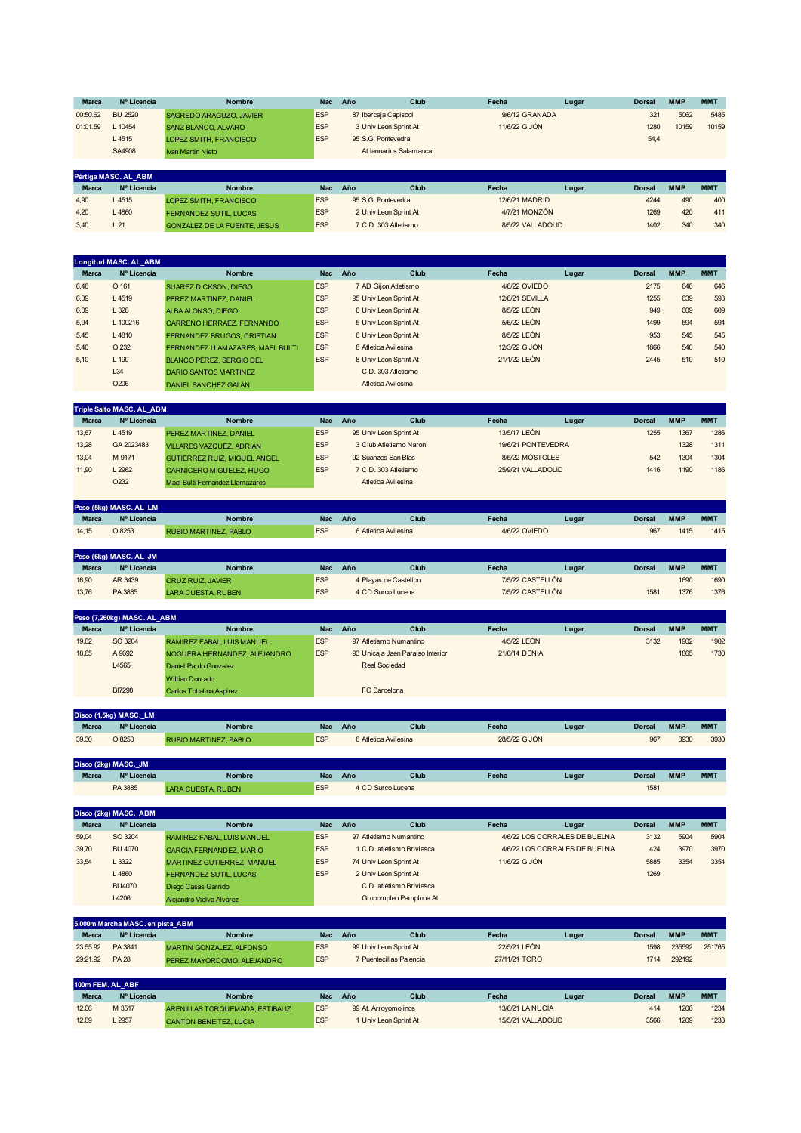| <b>Marca</b> | Nº Licencia          | <b>Nombre</b>                 | <b>Nac</b> | Año                   | Club                   | Fecha          | Lugar | <b>Dorsal</b> | <b>MMP</b> | <b>MMT</b> |
|--------------|----------------------|-------------------------------|------------|-----------------------|------------------------|----------------|-------|---------------|------------|------------|
| 00:50.62     | BU 2520              | SAGREDO ARAGUZO, JAVIER       | <b>ESP</b> | 87 Ibercaja Capiscol  |                        | 9/6/12 GRANADA |       | 321           | 5062       | 5485       |
| 01:01.59     | L 10454              | SANZ BLANCO, ALVARO           | <b>ESP</b> |                       | 3 Univ Leon Sprint At  | 11/6/22 GIJÓN  |       | 1280          | 10159      | 10159      |
|              | L4515                | LOPEZ SMITH, FRANCISCO        | <b>ESP</b> |                       | 95 S.G. Pontevedra     |                |       | 54,4          |            |            |
|              | SA4908               | Ivan Martin Nieto             |            |                       | At lanuarius Salamanca |                |       |               |            |            |
|              |                      |                               |            |                       |                        |                |       |               |            |            |
|              | Pértiga MASC. AL ABM |                               |            |                       |                        |                |       |               |            |            |
| <b>Marca</b> | Nº Licencia          | <b>Nombre</b>                 | <b>Nac</b> | Año                   | Club                   | Fecha          | Lugar | <b>Dorsal</b> | <b>MMP</b> | <b>MMT</b> |
| 4,90         | L4515                | LOPEZ SMITH, FRANCISCO        | <b>ESP</b> |                       | 95 S.G. Pontevedra     | 12/6/21 MADRID |       | 4244          | 490        | 400        |
| 4.20         | L4860                | <b>FERNANDEZ SUTIL, LUCAS</b> | <b>ESP</b> | 2 Univ Leon Sprint At |                        | 4/7/21 MONZÓN  |       | 1269          | 420        | 411        |

3,40 L 21 GONZALEZ DE LA FUENTE, JESUS ESP 7 C.D. 303 Atletismo 8/5/22 VALLADOLID 1402 340 340 340

|              | <b>Longitud MASC. AL ABM</b> |                                   |            |     |                        |                 |       |               |            |            |
|--------------|------------------------------|-----------------------------------|------------|-----|------------------------|-----------------|-------|---------------|------------|------------|
| <b>Marca</b> | Nº Licencia                  | <b>Nombre</b>                     | <b>Nac</b> | Año | Club                   | Fecha           | Lugar | <b>Dorsal</b> | <b>MMP</b> | <b>MMT</b> |
| 6,46         | O 161                        | <b>SUAREZ DICKSON, DIEGO</b>      | <b>ESP</b> |     | 7 AD Gijon Atletismo   | 4/6/22 OVIEDO   |       | 2175          | 646        | 646        |
| 6,39         | L4519                        | PEREZ MARTINEZ, DANIEL            | <b>ESP</b> |     | 95 Univ Leon Sprint At | 12/6/21 SEVILLA |       | 1255          | 639        | 593        |
| 6,09         | L328                         | ALBA ALONSO, DIEGO                | <b>ESP</b> |     | 6 Univ Leon Sprint At  | 8/5/22 LEÓN     |       | 949           | 609        | 609        |
| 5,94         | L 100216                     | CARREÑO HERRAEZ, FERNANDO         | <b>ESP</b> |     | 5 Univ Leon Sprint At  | 5/6/22 LEÓN     |       | 1499          | 594        | 594        |
| 5,45         | L4810                        | <b>FERNANDEZ BRUGOS, CRISTIAN</b> | <b>ESP</b> |     | 6 Univ Leon Sprint At  | 8/5/22 LEÓN     |       | 953           | 545        | 545        |
| 5,40         | O 232                        | FERNANDEZ LLAMAZARES, MAEL BULTI  | <b>ESP</b> |     | 8 Atletica Avilesina   | 12/3/22 GIJÓN   |       | 1866          | 540        | 540        |
| 5.10         | $L$ 190                      | <b>BLANCO PÉREZ, SERGIO DEL</b>   | <b>ESP</b> |     | 8 Univ Leon Sprint At  | 21/1/22 LEÓN    |       | 2445          | 510        | 510        |
|              | L34                          | DARIO SANTOS MARTINEZ             |            |     | C.D. 303 Atletismo     |                 |       |               |            |            |
|              | O <sub>206</sub>             | <b>DANIEL SANCHEZ GALAN</b>       |            |     | Atletica Avilesina     |                 |       |               |            |            |

|              | <b>Triple Salto MASC. AL ABM</b> |                                     |            |     |                        |                    |       |               |            |            |
|--------------|----------------------------------|-------------------------------------|------------|-----|------------------------|--------------------|-------|---------------|------------|------------|
| <b>Marca</b> | Nº Licencia                      | <b>Nombre</b>                       | <b>Nac</b> | Año | Club                   | Fecha              | Lugar | <b>Dorsal</b> | <b>MMP</b> | <b>MMT</b> |
| 13.67        | L 4519                           | PEREZ MARTINEZ, DANIEL              | <b>ESP</b> |     | 95 Univ Leon Sprint At | 13/5/17 LEÓN       |       | 1255          | 1367       | 1286       |
| 13.28        | GA 2023483                       | VILLARES VAZQUEZ, ADRIAN            | <b>ESP</b> |     | 3 Club Atletismo Naron | 19/6/21 PONTEVEDRA |       |               | 1328       | 1311       |
| 13.04        | M 9171                           | <b>GUTIERREZ RUIZ, MIGUEL ANGEL</b> | <b>ESP</b> |     | 92 Suanzes San Blas    | 8/5/22 MÓSTOLES    |       | 542           | 1304       | 1304       |
| 11,90        | $-2962$                          | <b>CARNICERO MIGUELEZ, HUGO</b>     | <b>ESP</b> |     | 7 C.D. 303 Atletismo   | 25/9/21 VALLADOLID |       | 1416          | 1190       | 1186       |
|              | O <sub>2</sub> 3 <sub>2</sub>    | Mael Bulti Fernandez Llamazares     |            |     | Atletica Avilesina     |                    |       |               |            |            |

|              | Peso (5kg) MASC. AL LM |                       |            |     |                      |               |       |        |            |            |
|--------------|------------------------|-----------------------|------------|-----|----------------------|---------------|-------|--------|------------|------------|
| <b>Marca</b> | Nº Licencia            | Nombre                | Nac        | Año | Club                 | Fecha         | Lugar | Dorsal | <b>MMF</b> | <b>MMT</b> |
| 14.15        | O 8253                 | RUBIO MARTINEZ, PABLO | <b>ESP</b> |     | 6 Atletica Avilesina | 4/6/22 OVIEDO |       | 967    | 1415       | 1415       |

|              | Peso (6kg) MASC. AL JM |                           |            |     |                       |                  |       |               |            |            |
|--------------|------------------------|---------------------------|------------|-----|-----------------------|------------------|-------|---------------|------------|------------|
| <b>Marca</b> | Nº Licencia            | <b>Nombre</b>             | <b>Nac</b> | Año | Club                  | Fecha            | Lugar | <b>Dorsal</b> | <b>MMP</b> | <b>MMT</b> |
| 16.90        | AR 3439                | <b>CRUZ RUIZ, JAVIER</b>  | <b>ESP</b> |     | 4 Plavas de Castellon | 7/5/22 CASTELLÓN |       |               | 1690       | 1690       |
| 13.76        | PA 3885                | <b>LARA CUESTA, RUBEN</b> | <b>ESP</b> |     | 4 CD Surco Lucena     | 7/5/22 CASTELLON |       | 1581          | 1376       | 1376       |

|              | Peso (7,260kg) MASC. AL ABM |                                   |            |     |                                  |               |       |               |            |            |
|--------------|-----------------------------|-----------------------------------|------------|-----|----------------------------------|---------------|-------|---------------|------------|------------|
| <b>Marca</b> | Nº Licencia                 | <b>Nombre</b>                     | <b>Nac</b> | Año | Club                             | Fecha         | Lugar | <b>Dorsal</b> | <b>MMP</b> | <b>MMT</b> |
| 19,02        | SO 3204                     | <b>RAMIREZ FABAL. LUIS MANUEL</b> | <b>ESP</b> |     | 97 Atletismo Numantino           | 4/5/22 LEÓN   |       | 3132          | 1902       | 1902       |
| 18,65        | A 9692                      | NOGUERA HERNANDEZ, ALEJANDRO      | <b>ESP</b> |     | 93 Unicaja Jaen Paraiso Interior | 21/6/14 DENIA |       |               | 1865       | 1730       |
|              | L4565                       | Daniel Pardo Gonzalez             |            |     | Real Sociedad                    |               |       |               |            |            |
|              |                             | <b>Willian Dourado</b>            |            |     |                                  |               |       |               |            |            |
|              | <b>BI7298</b>               | Carlos Tobalina Aspirez           |            |     | <b>FC</b> Barcelona              |               |       |               |            |            |

|              | Disco (1,5kg) MASC. LM |                       |            |     |                      |               |       |        |            |            |
|--------------|------------------------|-----------------------|------------|-----|----------------------|---------------|-------|--------|------------|------------|
| <b>Marca</b> | Nº Licencia            | <b>Nombre</b>         | Nac        | Año | Club                 | Fecha         | Lugar | Dorsal | <b>MMP</b> | <b>MMT</b> |
| 39.30        | O 8253                 | RUBIO MARTINEZ, PABLO | <b>ESP</b> |     | 6 Atletica Avilesina | 28/5/22 GIJÓN |       | 967    | 3930       | 3930       |

|              | Disco (2kg) MASC._JM |                           |            |     |                   |       |       |               |            |            |
|--------------|----------------------|---------------------------|------------|-----|-------------------|-------|-------|---------------|------------|------------|
| <b>Marca</b> | Nº Licencia          | <b>Nombre</b>             | Nac        | Año | Club              | Fecha | Lugar | <b>Dorsal</b> | <b>MMP</b> | <b>MMT</b> |
|              | PA 3885              | <b>LARA CUESTA, RUBEN</b> | <b>ESP</b> |     | 4 CD Surco Lucena |       |       | 1581          |            |            |
|              |                      |                           |            |     |                   |       |       |               |            |            |

|              | Disco (2kg) MASC. ABM |                                   |            |     |                            |               |                               |               |            |            |
|--------------|-----------------------|-----------------------------------|------------|-----|----------------------------|---------------|-------------------------------|---------------|------------|------------|
| <b>Marca</b> | Nº Licencia           | <b>Nombre</b>                     | Nac.       | Año | Club                       | Fecha         | Lugar                         | <b>Dorsal</b> | <b>MMP</b> | <b>MMT</b> |
| 59.04        | SO 3204               | <b>RAMIREZ FABAL. LUIS MANUEL</b> | <b>ESP</b> |     | 97 Atletismo Numantino     |               | 4/6/22 LOS CORRALES DE BUELNA | 3132          | 5904       | 5904       |
| 39.70        | <b>BU 4070</b>        | <b>GARCIA FERNANDEZ, MARIO</b>    | <b>ESP</b> |     | 1 C.D. atletismo Briviesca |               | 4/6/22 LOS CORRALES DE BUELNA | 424           | 3970       | 3970       |
| 33,54        | L 3322                | <b>MARTINEZ GUTIERREZ, MANUEL</b> | <b>ESP</b> |     | 74 Univ Leon Sprint At     | 11/6/22 GIJÓN |                               | 5885          | 3354       | 3354       |
|              | L4860                 | <b>FERNANDEZ SUTIL, LUCAS</b>     | <b>ESP</b> |     | 2 Univ Leon Sprint At      |               |                               | 1269          |            |            |
|              | BU4070                | Diego Casas Garrido               |            |     | C.D. atletismo Briviesca   |               |                               |               |            |            |
|              | L4206                 | Alejandro Vielva Alvarez          |            |     | Grupompleo Pamplona At     |               |                               |               |            |            |

|              | 5.000m Marcha MASC. en pista ABM |                                 |            |     |                         |               |       |               |            |            |
|--------------|----------------------------------|---------------------------------|------------|-----|-------------------------|---------------|-------|---------------|------------|------------|
| <b>Marca</b> | Nº Licencia                      | <b>Nombre</b>                   | <b>Nac</b> | Año | Club                    | Fecha         | Lugar | <b>Dorsal</b> | <b>MMP</b> | <b>MMT</b> |
| 23:55.92     | PA 3841                          | <b>MARTIN GONZALEZ, ALFONSO</b> | <b>ESP</b> |     | 99 Univ Leon Sprint At  | 22/5/21 LEÓN  |       | 1598          | 235592     | 251765     |
| 29:21.92     | <b>PA 28</b>                     | PEREZ MAYORDOMO, ALEJANDRO      | <b>ESP</b> |     | 7 Puentecillas Palencia | 27/11/21 TORO |       | 1714          | 292192     |            |
|              |                                  |                                 |            |     |                         |               |       |               |            |            |

| 100m FEM. AL ABF |             |                                 |            |     |                       |                    |       |        |            |            |
|------------------|-------------|---------------------------------|------------|-----|-----------------------|--------------------|-------|--------|------------|------------|
| <b>Marca</b>     | Nº Licencia | <b>Nombre</b>                   | Nac        | Año | Club                  | Fecha              | Lugar | Dorsal | <b>MMP</b> | <b>MMT</b> |
| 12.06            | VI 3517     | ARENILLAS TORQUEMADA, ESTIBALIZ | <b>ESP</b> |     | 99 At. Arrovomolinos  | 13/6/21 LA NUCÍA   |       | 414    | 1206       | 1234       |
| 12.09            | 2957        | <b>CANTON BENEITEZ, LUCIA</b>   | <b>ESP</b> |     | 1 Univ Leon Sprint At | 15/5/21 VALLADOLID |       | 3566   | 1209       | 1233       |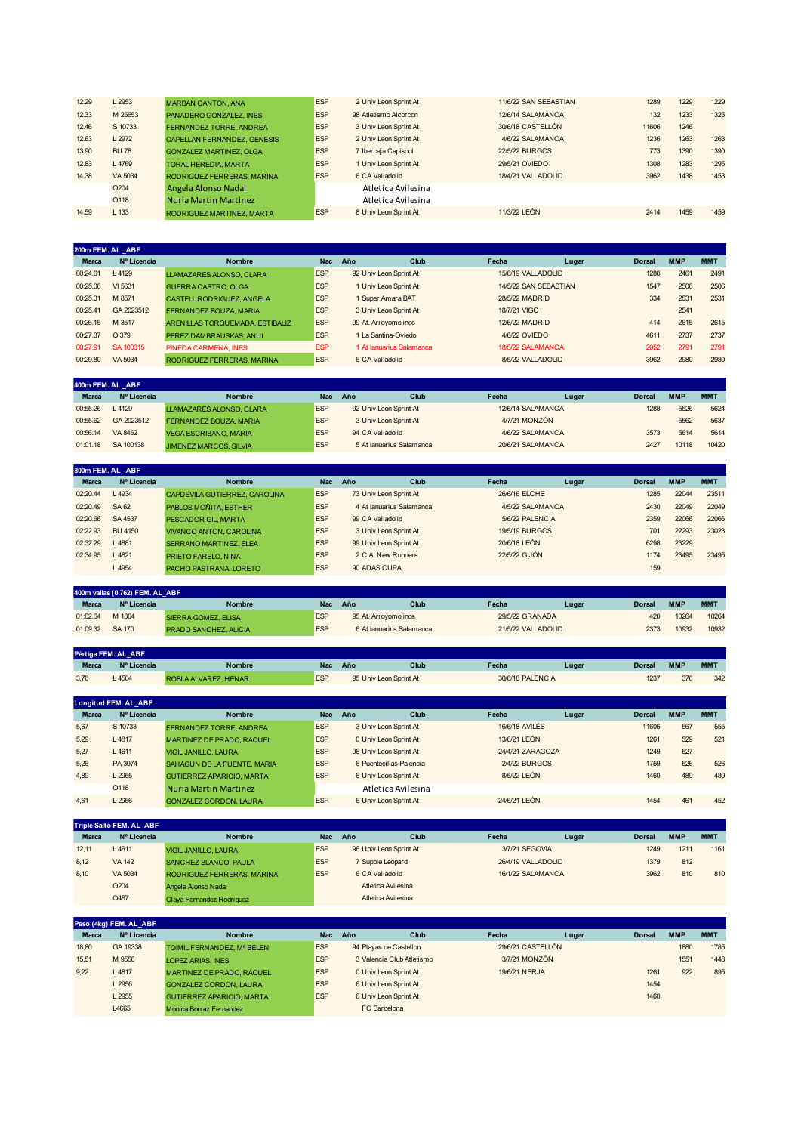| 12.29 | L2953            | <b>MARBAN CANTON, ANA</b>          | <b>ESP</b> | 2 Univ Leon Sprint At | 11/6/22 SAN SEBASTIÁN | 1289  | 1229 | 1229 |
|-------|------------------|------------------------------------|------------|-----------------------|-----------------------|-------|------|------|
| 12.33 | M 25653          | PANADERO GONZALEZ, INES            | <b>ESP</b> | 98 Atletismo Alcorcon | 12/6/14 SALAMANCA     | 132   | 1233 | 1325 |
| 12.46 | S 10733          | FERNANDEZ TORRE, ANDREA            | <b>ESP</b> | 3 Univ Leon Sprint At | 30/6/18 CASTELLÓN     | 11606 | 1246 |      |
| 12.63 | L2972            | <b>CAPELLAN FERNANDEZ, GENESIS</b> | <b>ESP</b> | 2 Univ Leon Sprint At | 4/6/22 SALAMANCA      | 1236  | 1263 | 1263 |
| 13.90 | <b>BU 78</b>     | <b>GONZALEZ MARTINEZ, OLGA</b>     | <b>ESP</b> | 7 Ibercaja Capiscol   | 22/5/22 BURGOS        | 773   | 1390 | 1390 |
| 12.83 | L4769            | <b>TORAL HEREDIA, MARTA</b>        | <b>ESP</b> | 1 Univ Leon Sprint At | 29/5/21 OVIEDO        | 1308  | 1283 | 1295 |
| 14.38 | VA 5034          | RODRIGUEZ FERRERAS, MARINA         | <b>ESP</b> | 6 CA Valladolid       | 18/4/21 VALLADOLID    | 3962  | 1438 | 1453 |
|       | O <sub>204</sub> | Angela Alonso Nadal                |            | Atletica Avilesina    |                       |       |      |      |
|       | O118             | <b>Nuria Martin Martinez</b>       |            | Atletica Avilesina    |                       |       |      |      |
| 14.59 | L <sub>133</sub> | RODRIGUEZ MARTINEZ, MARTA          | <b>ESP</b> | 8 Univ Leon Sprint At | 11/3/22 LEÓN          | 2414  | 1459 | 1459 |
|       |                  |                                    |            |                       |                       |       |      |      |

|              | 200m FEM. AL ABF |                                  |            |                          |                       |       |               |            |            |
|--------------|------------------|----------------------------------|------------|--------------------------|-----------------------|-------|---------------|------------|------------|
| <b>Marca</b> | Nº Licencia      | <b>Nombre</b>                    | <b>Nac</b> | Año<br>Club              | Fecha                 | Lugar | <b>Dorsal</b> | <b>MMP</b> | <b>MMT</b> |
| 00:24.61     | L4129            | LLAMAZARES ALONSO, CLARA         | <b>ESP</b> | 92 Univ Leon Sprint At   | 15/6/19 VALLADOLID    |       | 1288          | 2461       | 2491       |
| 00:25.06     | VI 5631          | <b>GUERRA CASTRO, OLGA</b>       | <b>ESP</b> | 1 Univ Leon Sprint At    | 14/5/22 SAN SEBASTIÁN |       | 1547          | 2506       | 2506       |
| 00:25.31     | M 8571           | <b>CASTELL RODRIGUEZ, ANGELA</b> | <b>ESP</b> | 1 Super Amara BAT        | 28/5/22 MADRID        |       | 334           | 2531       | 2531       |
| 00:25.41     | GA 2023512       | FERNANDEZ BOUZA, MARIA           | <b>ESP</b> | 3 Univ Leon Sprint At    | 18/7/21 VIGO          |       |               | 2541       |            |
| 00:26.15     | M 3517           | ARENILLAS TORQUEMADA, ESTIBALIZ  | <b>ESP</b> | 99 At. Arroyomolinos     | 12/6/22 MADRID        |       | 414           | 2615       | 2615       |
| 00:27.37     | O 379            | PEREZ DAMBRAUSKAS, ANUI          | <b>ESP</b> | 1 La Santina-Oviedo      | 4/6/22 OVIEDO         |       | 4611          | 2737       | 2737       |
| 00:27.91     | SA 100315        | PINEDA CARMENA, INES             | <b>ESP</b> | 1 At lanuarius Salamanca | 18/5/22 SALAMANCA     |       | 2052          | 2791       | 2791       |
| 00:29.80     | VA 5034          | RODRIGUEZ FERRERAS, MARINA       | <b>ESP</b> | 6 CA Valladolid          | 8/5/22 VALLADOLID     |       | 3962          | 2980       | 2980       |

| 400m FEM. AL ABF |             |                               |            |     |                          |                   |       |               |            |            |
|------------------|-------------|-------------------------------|------------|-----|--------------------------|-------------------|-------|---------------|------------|------------|
| <b>Marca</b>     | Nº Licencia | <b>Nombre</b>                 | <b>Nac</b> | Año | Club                     | Fecha             | Lugar | <b>Dorsal</b> | <b>MMP</b> | <b>MMT</b> |
| 00:55.26         | $-4129$     | LLAMAZARES ALONSO, CLARA      | <b>ESP</b> |     | 92 Univ Leon Sprint At   | 12/6/14 SALAMANCA |       | 1288          | 5526       | 5624       |
| 00:55.62         | GA 2023512  | FERNANDEZ BOUZA, MARIA        | <b>ESP</b> |     | 3 Univ Leon Sprint At    | 4/7/21 MONZÓN     |       |               | 5562       | 5637       |
| 00:56.14         | VA 8462     | <b>VEGA ESCRIBANO, MARIA</b>  | <b>ESP</b> |     | 94 CA Valladolid         | 4/6/22 SALAMANCA  |       | 3573          | 5614       | 5614       |
| 01:01.18         | SA 100138   | <b>JIMENEZ MARCOS, SILVIA</b> | <b>ESP</b> |     | 5 At lanuarius Salamanca | 20/6/21 SALAMANCA |       | 2427          | 10118      | 10420      |

| 800m FEM. AL ABF |             |                               |            |                  |                          |                  |       |               |            |            |
|------------------|-------------|-------------------------------|------------|------------------|--------------------------|------------------|-------|---------------|------------|------------|
| <b>Marca</b>     | Nº Licencia | <b>Nombre</b>                 | <b>Nac</b> | Año              | Club                     | Fecha            | Lugar | <b>Dorsal</b> | <b>MMP</b> | <b>MMT</b> |
| 02:20.44         | L4934       | CAPDEVILA GUTIERREZ, CAROLINA | <b>ESP</b> |                  | 73 Univ Leon Sprint At   | 26/6/16 ELCHE    |       | 1285          | 22044      | 23511      |
| 02:20.49         | <b>SA62</b> | PABLOS MOÑITA, ESTHER         | <b>ESP</b> |                  | 4 At lanuarius Salamanca | 4/5/22 SALAMANCA |       | 2430          | 22049      | 22049      |
| 02:20.66         | SA 4537     | PESCADOR GIL, MARTA           | <b>ESP</b> | 99 CA Valladolid |                          | 5/6/22 PALENCIA  |       | 2359          | 22066      | 22066      |
| 02:22.93         | BU 4150     | VIVANCO ANTON, CAROLINA       | <b>ESP</b> |                  | 3 Univ Leon Sprint At    | 19/5/19 BURGOS   |       | 701           | 22293      | 23023      |
| 02:32.29         | L4881       | <b>SERRANO MARTINEZ, ELEA</b> | <b>ESP</b> |                  | 99 Univ Leon Sprint At   | 20/6/18 LEÓN     |       | 6298          | 23229      |            |
| 02:34.95         | 1.4821      | PRIETO FARELO, NINA           | <b>ESP</b> |                  | 2 C.A. New Runners       | 22/5/22 GIJÓN    |       | 1174          | 23495      | 23495      |
|                  | L4954       | PACHO PASTRANA, LORETO        | <b>ESP</b> | 90 ADAS CUPA     |                          |                  |       | 159           |            |            |

|              | 400m vallas (0,762) FEM. AL ABF |                              |            |     |                          |                    |       |        |            |            |
|--------------|---------------------------------|------------------------------|------------|-----|--------------------------|--------------------|-------|--------|------------|------------|
| <b>Marca</b> | Nº Licencia                     | <b>Nombre</b>                | <b>Nac</b> | Año | Club                     | Fecha              | Lugar | Dorsal | <b>MMP</b> | <b>MMT</b> |
| 01:02.64     | M 1804                          | SIERRA GOMEZ, ELISA          | <b>ESP</b> |     | 95 At. Arrovomolinos     | 29/5/22 GRANADA    |       | 420    | 10264      | 10264      |
| 01:09.32     | SA 170                          | <b>PRADO SANCHEZ, ALICIA</b> | <b>ESP</b> |     | 6 At lanuarius Salamanca | 21/5/22 VALLADOLID |       | 2373   | 10932      | 10932      |

|              | Pértiga FEM. AL ABF |                      |            |     |                        |                  |       |        |            |            |
|--------------|---------------------|----------------------|------------|-----|------------------------|------------------|-------|--------|------------|------------|
| <b>Marca</b> | Nº Licencia         | Nombre               | <b>Nac</b> | Año | Club                   | Fecha            | Lugar | Dorsal | <b>MMF</b> | <b>MM1</b> |
| 3.76         | $-4504$             | ROBLA ALVAREZ, HENAR | <b>ESP</b> |     | 95 Univ Leon Sprint At | 30/6/18 PALENCIA |       | 1237   | 376        | 342        |

|              | <b>Longitud FEM. AL ABF</b> |                                  |            |     |                         |                      |       |               |            |            |
|--------------|-----------------------------|----------------------------------|------------|-----|-------------------------|----------------------|-------|---------------|------------|------------|
| <b>Marca</b> | Nº Licencia                 | <b>Nombre</b>                    | <b>Nac</b> | Año | Club                    | Fecha                | Lugar | <b>Dorsal</b> | <b>MMP</b> | <b>MMT</b> |
| 5.67         | S 10733                     | <b>FERNANDEZ TORRE, ANDREA</b>   | <b>ESP</b> |     | 3 Univ Leon Sprint At   | 16/6/18 AVILÉS       |       | 11606         | 567        | 555        |
| 5.29         | L4817                       | MARTINEZ DE PRADO, RAQUEL        | <b>ESP</b> |     | 0 Univ Leon Sprint At   | 13/6/21 LEÓN         |       | 1261          | 529        | 521        |
| 5.27         | L4611                       | <b>VIGIL JANILLO, LAURA</b>      | <b>ESP</b> |     | 96 Univ Leon Sprint At  | 24/4/21 ZARAGOZA     |       | 1249          | 527        |            |
| 5.26         | PA 3974                     | SAHAGUN DE LA FUENTE, MARIA      | <b>ESP</b> |     | 6 Puentecillas Palencia | <b>2/4/22 BURGOS</b> |       | 1759          | 526        | 526        |
| 4,89         | L 2955                      | <b>GUTIERREZ APARICIO, MARTA</b> | <b>ESP</b> |     | 6 Univ Leon Sprint At   | 8/5/22 LEÓN          |       | 1460          | 489        | 489        |
|              | O118                        | <b>Nuria Martin Martinez</b>     |            |     | Atletica Avilesina      |                      |       |               |            |            |
| 4.61         | 2956                        | <b>GONZALEZ CORDON, LAURA</b>    | <b>ESP</b> |     | 6 Univ Leon Sprint At   | 24/6/21 LEÓN         |       | 1454          | 461        | 452        |

|              | <b>Triple Salto FEM. AL ABF</b> |                              |            |     |                        |                    |       |               |            |            |
|--------------|---------------------------------|------------------------------|------------|-----|------------------------|--------------------|-------|---------------|------------|------------|
| <b>Marca</b> | Nº Licencia                     | <b>Nombre</b>                | <b>Nac</b> | Año | Club                   | Fecha              | Lugar | <b>Dorsal</b> | <b>MMP</b> | <b>MMT</b> |
| 12.11        | L4611                           | <b>VIGIL JANILLO, LAURA</b>  | <b>ESP</b> |     | 96 Univ Leon Sprint At | 3/7/21 SEGOVIA     |       | 1249          | 1211       | 1161       |
| 8.12         | <b>VA 142</b>                   | <b>SANCHEZ BLANCO, PAULA</b> | <b>ESP</b> |     | 7 Supple Leopard       | 26/4/19 VALLADOLID |       | 1379          | 812        |            |
| 8,10         | VA 5034                         | RODRIGUEZ FERRERAS, MARINA   | <b>ESP</b> |     | 6 CA Valladolid        | 16/1/22 SALAMANCA  |       | 3962          | 810        | 810        |
|              | O <sub>204</sub>                | Angela Alonso Nadal          |            |     | Atletica Avilesina     |                    |       |               |            |            |
|              | O487                            | Olava Fernandez Rodriguez    |            |     | Atletica Avilesina     |                    |       |               |            |            |

|              | Peso (4kg) FEM. AL ABF |                                  |            |     |                           |                   |       |               |            |            |
|--------------|------------------------|----------------------------------|------------|-----|---------------------------|-------------------|-------|---------------|------------|------------|
| <b>Marca</b> | Nº Licencia            | <b>Nombre</b>                    | <b>Nac</b> | Año | Club                      | Fecha             | Lugar | <b>Dorsal</b> | <b>MMP</b> | <b>MMT</b> |
| 18,80        | GA 19338               | TOIMIL FERNANDEZ. Mª BELEN       | <b>ESP</b> |     | 94 Playas de Castellon    | 29/6/21 CASTELLÓN |       |               | 1880       | 1785       |
| 15,51        | M 9556                 | <b>LOPEZ ARIAS, INES</b>         | <b>ESP</b> |     | 3 Valencia Club Atletismo | 3/7/21 MONZÓN     |       |               | 1551       | 1448       |
| 9,22         | L4817                  | MARTINEZ DE PRADO, RAQUEL        | <b>ESP</b> |     | 0 Univ Leon Sprint At     | 19/6/21 NERJA     |       | 1261          | 922        | 895        |
|              | L2956                  | <b>GONZALEZ CORDON, LAURA</b>    | <b>ESP</b> |     | 6 Univ Leon Sprint At     |                   |       | 1454          |            |            |
|              | L 2955                 | <b>GUTIERREZ APARICIO, MARTA</b> | <b>ESP</b> |     | 6 Univ Leon Sprint At     |                   |       | 1460          |            |            |
|              | L4665                  | Monica Borraz Fernandez          |            |     | FC Barcelona              |                   |       |               |            |            |